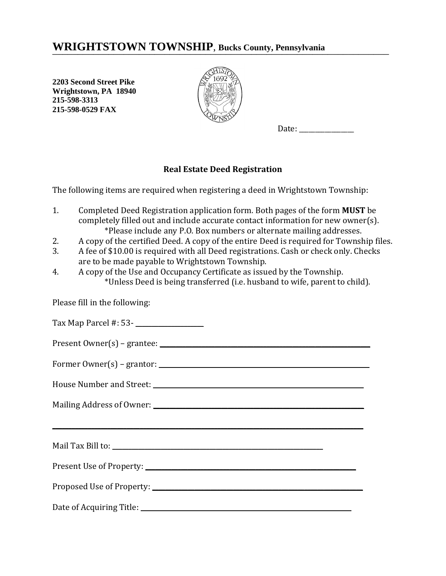## WRIGHTSTOWN TOWNSHIP, Bucks County, Pennsylvania

**2203 Second Street Pike Wrightstown, PA 18940 215-598-3313 215-598-0529 FAX**



Date:

## **Real Estate Deed Registration**

The following items are required when registering a deed in Wrightstown Township:

- 1. Completed Deed Registration application form. Both pages of the form **MUST** be completely filled out and include accurate contact information for new owner(s). \*Please include any P.O. Box numbers or alternate mailing addresses.
- 2. A copy of the certified Deed. A copy of the entire Deed is required for Township files.
- 3. A fee of \$10.00 is required with all Deed registrations. Cash or check only. Checks are to be made payable to Wrightstown Township.
- 4. A copy of the Use and Occupancy Certificate as issued by the Township. \*Unless Deed is being transferred (i.e. husband to wife, parent to child).

Please fill in the following: